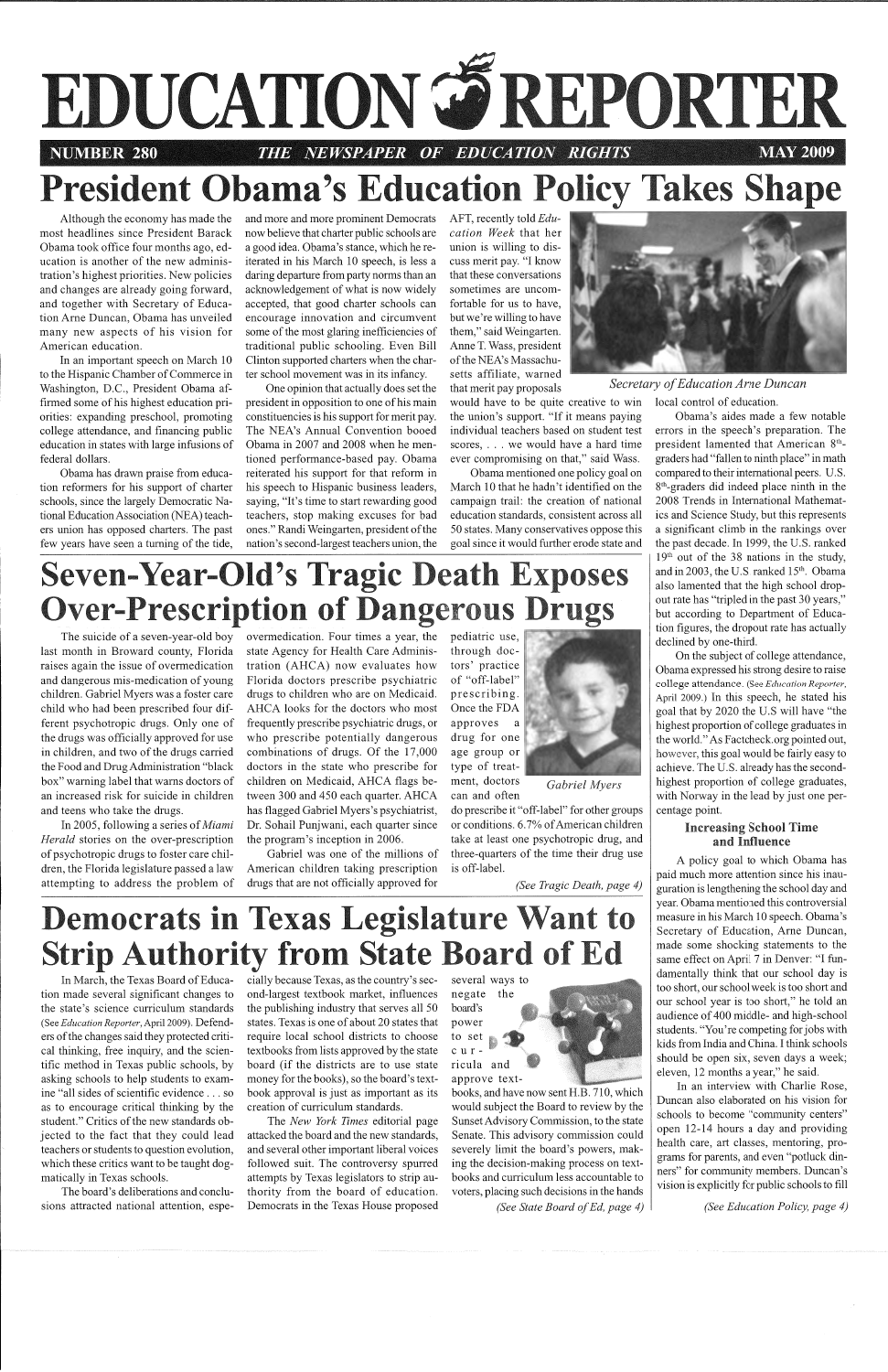

# **President Obama's Education Policy Takes Shape**

Although the economy has made the most headlines since President Barack Obama took office four months ago, education is another of the new administration's highest priorities. New policies and changes are already going forward, and together with Secretary of Education Ame Duncan, Obama has unveiled many new aspects of his vision for American education.

In an important speech on March 10 to the Hispanic Chamber of Commerce in Washington, D.C., President Obama affirmed some of his highest education priorities: expanding preschool, promoting college attendance, and financing public education in states with large infusions of federal dollars.

and more and more prominent Democrats now believe that charter public schools are a good idea. Obama's stance, which he reiterated in his March IO speech, is less a daring departure from party norms than an acknowledgement of what is now widely accepted, that good charter schools can encourage innovation and circumvent some of the most glaring inefficiencies of traditional public schooling. Even Bill Clinton supported charters when the charter school movement was in its infancy.

One opinion that actually does set the president in opposition to one of his main constituencies is his support for merit pay. The NEA's Annual Convention booed Obama in 2007 and 2008 when he mentioned performance-based pay. Obama reiterated his support for that reform in his speech to Hispanic business leaders, saying, "It's time to start rewarding good teachers, stop making excuses for bad ones." Randi Weingarten, president of the nation's second-largest teachers union, the AFT, recently told *Education Week* that her union is willing to discuss merit pay. "I know that these conversations sometimes are uncomfortable for us to have, but we're willing to have them," said Weingarten. Anne T. Wass, president of the NEA's Massachusetts affiliate, warned

that merit pay proposals *Secretary of Education Arne Duncan* 

Obama has drawn praise from education reformers for his support of charter schools, since the largely Democratic National Education Association (NEA) teachers union has opposed charters. The past few years have seen a turning of the tide,

In March, the Texas Board of Educa-cially because Texas, as the country's sec tion made several significant changes to ond-largest textbook market, influences negate the the publishing industry that serves all 50<br>states. Texas is one of about 20 states that<br>require local school districts to choose<br>textbooks from lists approved by the state<br>board (if the districts are to use state<br>money for book approval is just as important as its<br>creation of curriculum standards.<br>The *New York Times* editorial page<br>attacked the board and the new standards,<br>and several other important liberal voices<br>followed suit. The contro cially because Texas, as the country's sec-<br>
ond-largest textbook market, influences<br>
the publishing industry that serves all 50 board's<br>
texts. Texas is one of about 20 states that<br>
power is local school districts to choo



would have to be quite creative to win the union's support. "If it means paying individual teachers based on student test scores, . . . we would have a hard time ever compromising on that," said Wass.

Obama mentioned one policy goal on March 10 that he hadn't identified on the campaign trail: the creation of national education standards, consistent across all 50 states. Many conservatives oppose this goal since it would further erode state and



The suicide of a seven-year-old boy last month in Broward county, Florida raises again the issue of overmedication and dangerous mis-medication of young children. Gabriel Myers was a foster care child who had been prescribed four different psychotropic drugs. Only one of the drugs was officially approved for use in children, and two of the drugs carried the Food and Drug Administration "black box" warning label that warns doctors of an increased risk for suicide in children and teens who take the drugs.

In 2005, following a series of *Miami Herald* stories on the over-prescription of psychotropic drugs to foster care children, the Florida legislature passed a law attempting to address the problem of overmedication. Four times a year, the state Agency for Health Care Administration (AHCA) now evaluates how Florida doctors prescribe psychiatric drugs to children who are on Medicaid. AHCA looks for the doctors who most :frequently prescribe psychiatric drugs, or who prescribe potentially dangerous combinations of drugs. Of the 17,000 doctors in the state who prescribe for children on Medicaid, AHCA flags between 300 and 450 each quarter. AHCA has flagged Gabriel Myers's psychiatrist, Dr. Sohail Punjwani, each quarter since the program's inception in 2006.

Gabriel was one of the millions of American children taking prescription drugs that are not officially approved for

pediatric use, through doctors' practice of "off-label" prescribing. Once the FDA approves a drug for one age group or type of treatment, doctors

can and often

*Gabriel Myers* 

do prescribe it "off-label" for other groups or conditions. 6. 7% of American children take at least one psychotropic drug, and three-quarters of the time their drug use is off-label.

*(See Tragic Death, page 4)* 

## **Democrats in Texas Legislature Want to trip Authority from State Board of Ed**

the state's science curriculum standards (See *Education Reporter*, April 2009). Defenders of the changes said they protected critical thinking, free inquiry, and the scientific method in Texas public schools, by asking schools to help students to examine "all sides of scientific evidence ... so as to encourage critical thinking by the student." Critics of the new standards objected to the fact that they could lead teachers or students to question evolution, which these critics want to be taught dogmatically in Texas schools.

The board's deliberations and conclusions attracted national attention, espelocal control of education.

Obama's aides made a few notable errors in the speech's preparation. The president lamented that American 8<sup>th</sup>graders had "fallen to ninth place" in math compared to their international peers. U.S. 8th-graders did indeed place ninth in the 2008 Trends in International Mathematics and Science Study, but this represents a significant climb in the rankings over the past decade. In 1999, the U.S. ranked  $19<sup>th</sup>$  out of the 38 nations in the study, and in 2003, the U.S. ranked 15<sup>th</sup>. Obama also lamented that the high school dropout rate has "tripled in the past 30 years," but according to Department of Education figures, the dropout rate has actually declined by one-third.

On the subject of college attendance, Obama expressed his strong desire to raise college attendance. (See *Education Reporter,*  April 2009.) In this speech, he stated his goal that by 2020 the U.S will have "the highest proportion of college graduates in the world." As Factcheck.org pointed out, however, this goal would be fairly easy to achieve. The U.S. already has the secondhighest proportion of college graduates, with Norway in the lead by just one percentage point.

#### **Increasing School Time and Influence**

A policy goal to which Obama has paid much more attention since his inauguration is lengthening the school day and year. Obama mentioned this controversial measure in his March 10 speech. Obama's Secretary of Education, Arne Duncan, made some shocking statements to the same effect on April 7 in Denver: "I fundamentally think that our school day is too short, our school week is too short and our school year is too short," he told an audience of 400 middle- and high-school students. "You're competing for jobs with kids from India and China. I think schools should be open six, seven days a week; eleven, 12 months a year," he said. In an interview with Charlie Rose, Duncan also elaborated on his vision for schools to become "community centers" open 12-14 hours a day and providing health care, art classes, mentoring, programs for parents, and even "potluck dinners" for community members. Duncan's vision is explicitly for public schools to fill

## **Seven-Year-Old's Tragic Death Exposes Over-Prescription of Dangerous Dru**

*(See Education Policy, page 4)*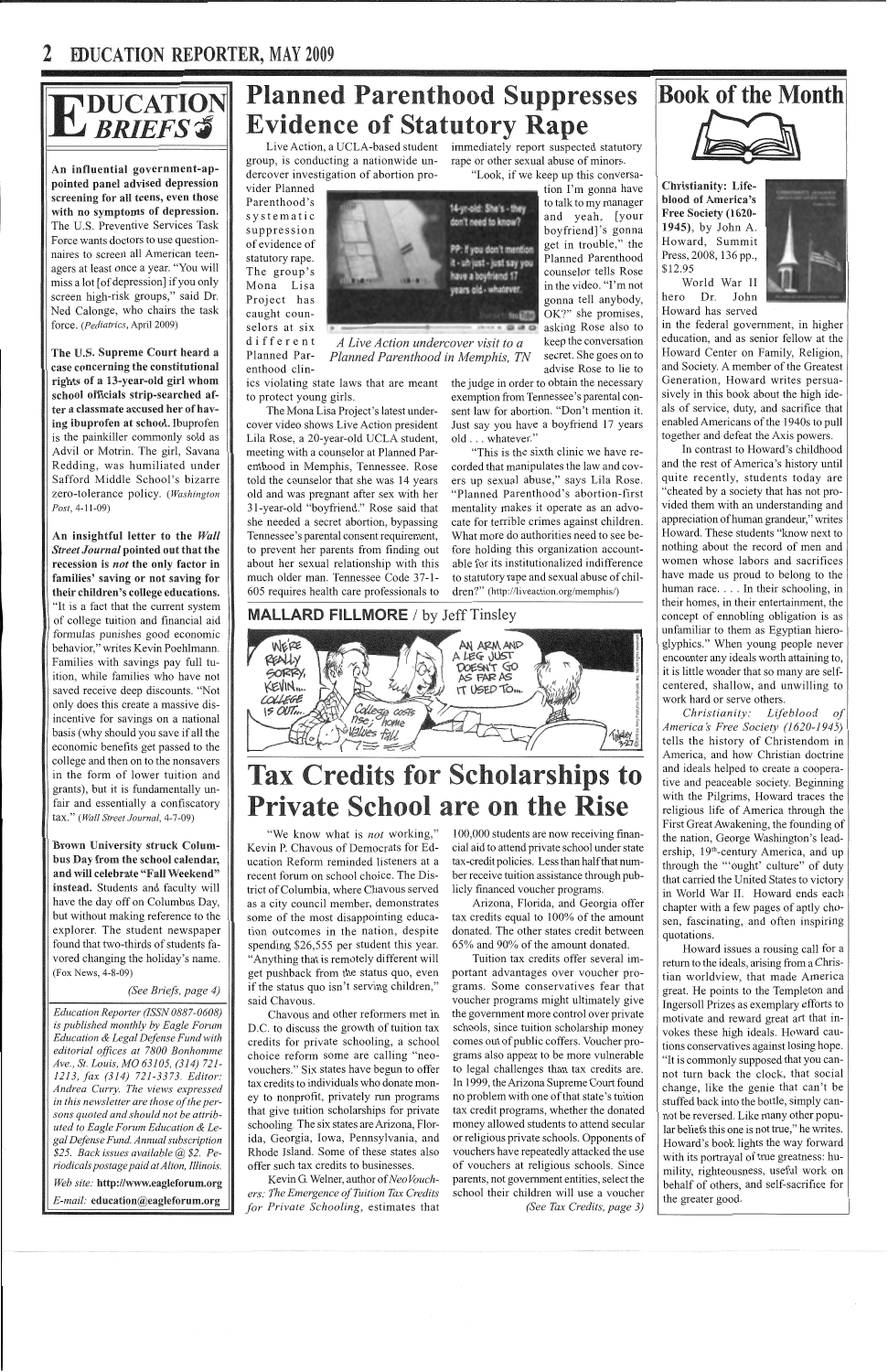## 2 **IDUCATION REPORTER,** MAY **2009**

# E DUCATION

An influential government-appointed panel advised depression screening for all teens, even those with no symptoms of depression. The U.S. Preventive Services Task Force wants doctors to use questionnaires to screen all American teenagers at least once a year. "You will miss a lot [ of depression] if you only screen high-risk groups," said Dr. Ned Calonge, who chairs the task force. *(Pediatrics,* April 2009)

The U.S. Supreme Court heard a case concerning the constitutional rights of a 13-year-old girl whom school officials strip-searched after a classmate accused her of having ibuprofen at school. Ibuprofen is the painkiller commonly sold as Advil or Motrin. The girl, Savana Redding, was humiliated under Safford Middle School's bizarre zero-tolerance policy. *(Washington Post,* 4-11-09)

An insightful letter to the *Wall Street Journal* pointed out that the recession is *not* the only factor in families' saving or not saving for their children's college educations. "It is a fact that the current system of college tuition and financial aid formulas punishes good economic behavior," writes Kevin Poehlmann. Families with savings pay full tuition, while families who have not saved receive deep discounts. "Not only does this create a massive disincentive for savings on a national basis (why should you save if all the economic benefits get passed to the college and then on to the nonsavers in the form of lower tuition and grants), but it is fundamentally unfair and essentially a confiscatory tax." *(Wall Street Journal,* 4-7-09)

Brown University struck Columbus Day from the school calendar, and will celebrate "Fall Weekend" instead. Students and faculty will have the day off on Columbus Day, but without making reference to the explorer. The student newspaper found that two-thirds of students favored changing the holiday's name. (Fox News, 4-8-09)

"We know what is *not* working," Kevin P. Chavous of Democrats for Education Reform reminded listeners at a recent forum on school choice. The District of Columbia, where Chavous served as a city council member, demonstrates some of the most disappointing education outcomes in the nation, despite spending \$26,555 per student this year. "Anything that is remotely different will get pushback from the status quo, even if the status quo isn't serving children," said Chavous. Chavous and other reformers met in D.C. to discuss the growth of tuition tax credits for private schooling, a school choice reform some are calling "neovouchers." Six states have begun to offer tax credits to individuals who donate money to nonprofit, privately nm programs that give tuition scholarships for private schooling. The six states are Arizona, Florida, Georgia, Iowa, Pennsylvania, and Rhode Island. Some of these states also offer such tax credits to businesses.

*(See Briefs, page 4)* 

## **Planned Parenthood Suppresses Evidence of Statutory Rape**

*Education Reporter (ISSN 0887-0608) is published monthly by Eagle Forum Education & Legal Defense Fund with editorial offices at 7800 Bonhomme Ave., St. Louis, MO 63105, (314) 721- 1213, fax (314) 721-3373. Editor: Andrea Curry. The views expressed in this newsletter are those of the persons quoted and should not be attributed to Eagle Forum Education & Legal Defense Fund. Annual subscription \$25. Back issues available@ \$2. Periodicals postage paid at Alton, Illinois. Web site:* http://www.eagleforum.org *E-mail:* education@eagleforum.org

Live Action, a UCLA-based student group, is conducting a nationwide undercover investigation of abortion pro-

> "This is the sixth clinic we have recorded that manipulates the law and covers up sexual abuse," says Lila Rose. "Planned Parenthood's abortion-first mentality makes it operate as an advocate for terrible crimes against children. What more do authorities need to see before holding this organization accountable for its institutionalized indifference to statutory rape and sexual abuse of children?" (http://liveaction.org/memphis/)

#### **MALLARD FILLMORE** / by Jeff Tinsley



## **Tax Credits for Scholarships to Private School are on the Rise**

immediately report suspected statutory rape or other sexual abuse of minors.

"Look, if we keep up this conversa-

vider Planned Parenthood's systematic suppression of evidence of statutory rape. The group's Mona Lisa Project has caught counselors at six

different

Planned Parenthood clin-*A Live Action undercover visit to a* keep the conversation *Planned Parenthood in Memphis, TN* secret. She goes on to ics violating state laws that are meant

to protect young girls. The Mona Lisa Project's latest under-

cover video shows Live Action president Lila Rose, a 20-year-old UCLA student, meeting with a counselor at Planned Parenthood in Memphis, Tennessee. Rose told the counselor that she was 14 years old and was pregnant after sex with her 31-year-old "boyfriend." Rose said that she needed a secret abortion, bypassing Tennessee's parental consent requirement, to prevent her parents from finding out about her sexual relationship with this much older man. Tennessee Code 37-1-605 requires health care professionals to tion I'm gonna have to talk to my manager and yeah, [your boyfriend]'s gonna get in trouble," the Planned Parenthood counselor tells Rose in the video. "I'm not gonna tell anybody, OK?" she promises, asking Rose also to advise Rose to lie to

Kevin G. Welner, author of *Neo Vouchers: The Emergence of Tuition Tax Credits for Private Schooling,* estimates that the judge in order to obtain the necessary exemption from Tennessee's parental consent law for abortion. "Don't mention it. Just say you have a boyfriend 17 years old ... whatever."

100,000 students are now receiving financial aid to attend private school under state tax-credit policies. Less than half that number receive tuition assistance through publicly financed voucher programs.

Arizona, Florida, and Georgia offer tax credits equal to 100% of the amount donated. The other states credit between 65% and 90% of the amount donated.

Tuition tax credits offer several important advantages over voucher programs. Some conservatives fear that voucher programs might ultimately give the government more control over private schools, since tuition scholarship money comes out of public coffers. Voucher programs also appear to be more vulnerable to legal challenges than tax credits are. In 1999, the Arizona Supreme Court found no problem with one of that state's tuition tax credit programs, whether the donated money allowed students to attend secular or religious private schools. Opponents of vouchers have repeatedly attacked the use of vouchers at religious schools. Since parents, not government entities, select the school their children will use a voucher *(See Tax Credits, page 3)* 

## **Book of the Month**



Christianity: Lifeblood of America's Free Society (1620- 1945), by John A. Howard, Summit Press, 2008, 136 pp., \$12.95



World War II hero Dr. John Howard has served

in the federal government, in higher education, and as senior fellow at the Howard Center on Family, Religion, and Society. A member of the Greatest Generation, Howard writes persuasively in this book about the high ideals of service, duty, and sacrifice that enabled Americans of the 1940s to pull together and defeat the Axis powers.

In contrast to Howard's childhood and the rest of America's history until quite recently, students today are "cheated by a society that has not provided them with an understanding and appreciation of human grandeur," writes Howard. These students "know next to nothing about the record of men and women whose labors and sacrifices have made us proud to belong to the human race.... In their schooling, in their homes, in their entertainment, the concept of ennobling obligation is as unfamiliar to them as Egyptian hieroglyphics." When young people never encounter any ideals worth attaining to, it is little wonder that so many are selfcentered, shallow, and unwilling to work hard or serve others.

*Christianity: Lifeblood of Americas Free Society (1620-1945)*  tells the history of Christendom in America, and how Christian doctrine and ideals helped to create a cooperative and peaceable society. Beginning with the Pilgrims, Howard traces the religious life of America through the First Great Awakening, the founding of the nation, George Washington's leadership, 19<sup>th</sup>-century America, and up through the "'ought' culture" of duty that carried the United States to victory in World War II. Howard ends each chapter with a few pages of aptly chosen, fascinating, and often inspiring quotations.

Howard issues a rousing call for a return to the ideals, arising from a Christian worldview, that made America great. He points to the Templeton and Ingersoll Prizes as exemplary efforts to motivate and reward great art that invokes these high ideals. Howard cautions conservatives against losing hope. "It is c01mnonly supposed that you cannot turn back the clock, that social change, like the genie that can't be stuffed back into the bottle, simply cannot be reversed. Like many other popular beliefs this one is not true," he writes. Howard's book lights the way forward with its portrayal of true greatness: humility, righteousness, useful work on behalf of others, and self-sacrifice for the greater good.

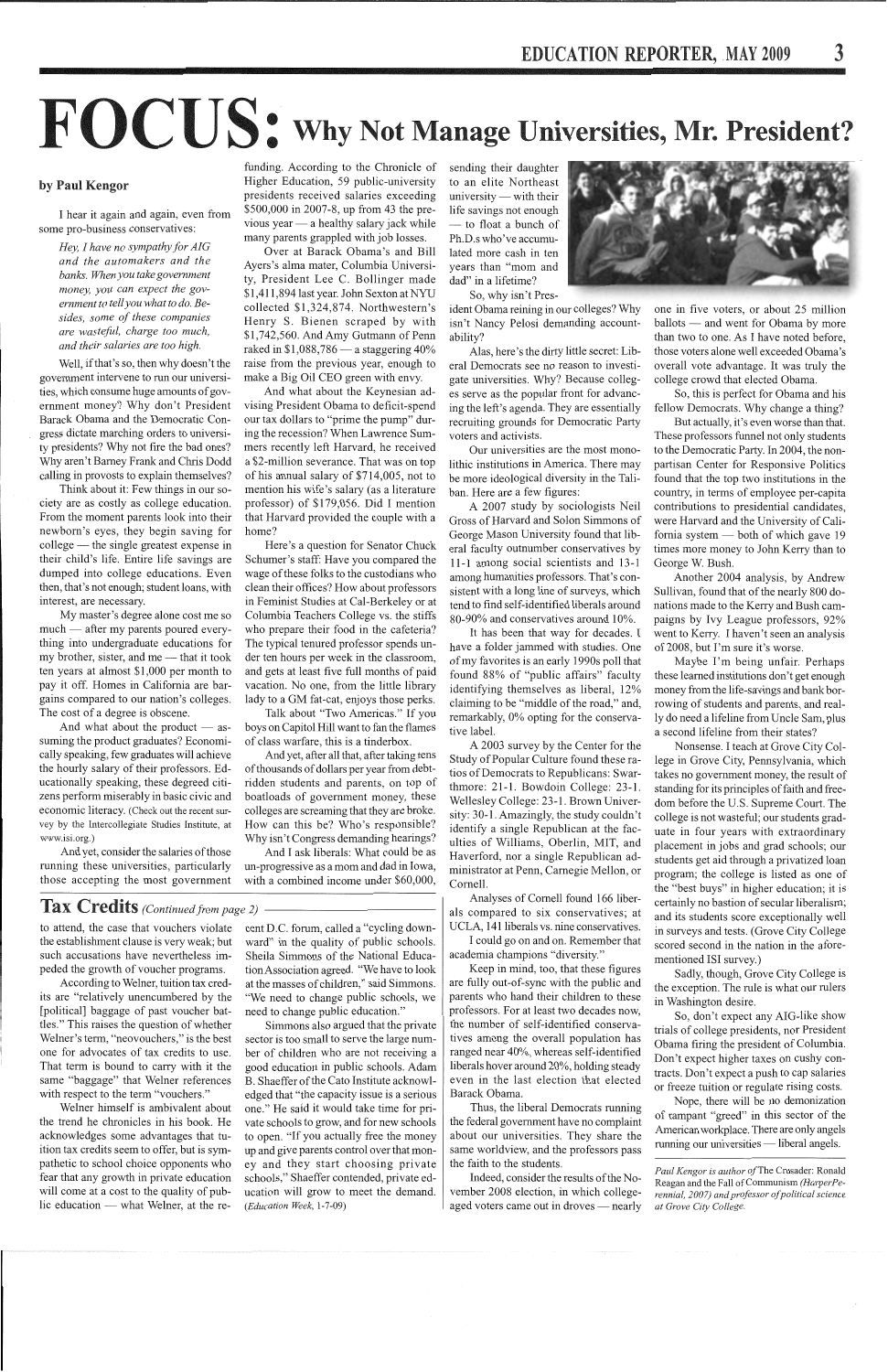# $FOCUS:$  Why Not Manage Universities, Mr. President?

#### by Paul Kengor

I hear it again and again, even from some pro-business conservatives:

> *Hey, I have no sympathy for AIG and the automakers and the banks. When you take government money, you can expect the government to tell you what to do. Besides, some of these companies are wastefid, charge too much, and their salaries are too high.*

Think about it: Few things in our society are as costly as college education. From the moment parents look into their newborn's eyes, they begin saving for college — the single greatest expense in their child's life. Entire life savings are dumped into college educations. Even then, that's not enough; student loans, with interest, are necessary.

Well, if that's so, then why doesn't the government intervene to run our universities, which consume huge amounts of government money? Why don't President Barack Obama and the Democratic Congress dictate marching orders to university presidents? Why not fire the bad ones? Why aren't Barney Frank and Chris Dodd calling in provosts to explain themselves?

And what about the product  $-$  assuming the product graduates? Economically speaking, few graduates will achieve the hourly salary of their professors. Educationally speaking, these degreed citizens perform miserably in basic civic and economic literacy. (Check out the recent survey by the Intercollegiate Studies Institute, at www.isi.org.)

My master's degree alone cost me so much - after my parents poured everything into undergraduate educations for my brother, sister, and me  $-$  that it took ten years at almost \$1,000 per month to pay it off. Homes in California are bargains compared to our nation's colleges. The cost of a degree is obscene.

And yet, consider the salaries of those running these universities, particularly those accepting the most government

**Tax Credits** (Continued from page 2)

funding. According to the Chronicle of Higher Education, 59 public-university presidents received salaries exceeding \$500,000 in 2007-8, up from 43 the previous year $-$  a healthy salary jack while many parents grappled with job losses.

According to Welner, tuition tax credits are "relatively unencumbered by the [political] baggage of past voucher battles." This raises the question of whether Welner's term, "neovouchers," is the best one for advocates of tax credits to use. That term is bound to carry with it the same "baggage" that Welner references with respect to the term "vouchers." Welner himself is ambivalent about the trend he chronicles in his book. He acknowledges some advantages that tuition tax credits seem to offer, but is sympathetic to school choice opponents who fear that any growth in private education will come at a cost to the quality of public education — what Welner, at the re-

Over at Barack Obama's and Bill Ayers's alma mater, Columbia University, President Lee C. Bollinger made \$1,411,894 last year. John Sexton at NYU collected \$1,324,874. Northwestern's Henry S. Bienen scraped by with \$1,742,560. And Amy Gutmann of Penn raked in \$1,088,786 - a staggering 40% raise from the previous year, enough to make a Big Oil CEO green with envy.

And what about the Keynesian advising President Obama to deficit-spend our tax dollars to "prime the pump" during the recession? When Lawrence Summers recently left Harvard, he received a \$2-million severance. That was on top of his annual salary of \$714,005, not to mention his wife's salary (as a literature professor) of \$179,056. Did I mention that Harvard provided the couple with a home?

Here's a question for Senator Chuck Schumer's staff: Have you compared the wage of these folks to the custodians who clean their offices? How about professors in Feminist Studies at Cal-Berkeley or at Columbia Teachers College vs. the stiffs who prepare their food in the cafeteria? The typical tenured professor spends under ten hours per week in the classroom, and gets at least five full months of paid vacation. No one, from the little library lady to a GM fat-cat, enjoys those perks.

Talk about "Two Americas." If you boys on Capitol Hill want to fan the flames of class warfare, this is a tinderbox.

And yet, after all that, after taking tens of thousands of dollars per year from debtridden students and parents, on top of boatloads of government money, these colleges are screaming that they are broke. How can this be? Who's responsible? Why isn't Congress demanding hearings?

And I ask liberals: What could be as un-progressive as a morn and dad in Iowa, with a combined income under \$60,000,

to attend, the case that vouchers violate the establishment clause is very weak; but such accusations have nevertheless impeded the growth of voucher programs.

> Indeed, consider the results of the November 2008 election, in which collegeaged voters came out in droves — nearly

cent D.C. forum, called a "cycling down ward" in the quality of public schools. Sheila Simmons of the National Educa tion Association agreed. "We have to look<br>at the masses of children," said Simmons.<br>"We need to change public schools, we<br>need to change public education."<br>Simmons also argued that the private<br>sector is too small to serve ber of children who are not receiving a good education in public schools. Adam B. Shaeffer of the Cato Institute acknowl edged that "the capacity issue is a serious one." He said it would take time for pri vate schools to grow, and for new schools to open. "If you actually free the money up and give parents control over that mon ey and they start choosing private schools," Shaeffer contended, private ed ucation will grow to meet the demand. *(Education Week,* 1-7-09)

Nope, there will be no demonization of rampant "greed" in this sector of the American workplace. There are only angels running our universities - liberal angels.

sending their daughter to an elite Northeast  $university$  - with their life savings not enough — to float a bunch of Ph.D.s who've accumulated more cash in ten years than "mom and dad" in a lifetime?

So, why isn't Pres-

ident Obama reining in our colleges? Why isn't Nancy Pelosi demanding accountability?

Alas, here's the dirty little secret: Liberal Democrats see no reason to investigate universities. Why? Because colleges serve as the popular front for advancing the left's agenda. They are essentially recruiting grounds for Democratic Party voters and activists.

Our universities are the most monolithic institutions in America. There may be more ideological diversity in the Taliban. Here are a few figures:

A 2007 study by sociologists Neil Gross of Harvard and Solon Simmons of George Mason University found that liberal faculty outnumber conservatives by 11-1 among social scientists and 13-1 among humanities professors. That's consistent with a long line of surveys, which tend to find self-identified liberals around 80-90% and conservatives around 10%.

It has been that way for decades. I have a folder jammed with studies. One of my favorites is an early 1990s poll that found 88% of "public affairs" faculty identifying themselves as liberal, 12% claiming to be "middle of the road," and, remarkably, 0% opting for the conservative label.

A 2003 survey by the Center for the Study of Popular Culture found these ratios of Democrats to Republicans: Swarthmore: 21-1. Bowdoin College: 23-1. Wellesley College: 23-1. Brown University: 30-1. Amazingly, the study couldn't identify a single Republican at the faculties of Williams, Oberlin, MIT, and Haverford, nor a single Republican administrator at Penn, Carnegie Mellon, or Cornell.

Analyses of Cornell found 166 liberals compared to six conservatives; at UCLA, 141 liberals vs. nine conservatives.

I could go on and on. Remember that academia champions "diversity."

Keep in mind, too, that these figures are fully out-of-sync with the public and parents who hand their children to these professors. For at least two decades now, the number of self-identified conservatives among the overall population has ranged near 40%, whereas self-identified liberals hover around 20%, holding steady even in the last election that elected Barack Obama. Thus, the liberal Democrats running the federal government have no complaint about our universities. They share the same worldview, and the professors pass the faith to the students.



one in five voters, or about 25 million ballots - and went for Obama by more than two to one. As I have noted before, those voters alone well exceeded Obama's overall vote advantage. It was truly the college crowd that elected Obama.

So, this is perfect for Obama and his fellow Democrats. Why change a thing?

But actually, it's even worse than that. These professors funnel not only students to the Democratic Party. In 2004, the nonpartisan Center for Responsive Politics found that the top two institutions in the country, in terms of employee per-capita contributions to presidential candidates, were Harvard and the University of California system  $-$  both of which gave 19 times more money to John Kerry than to George W. Bush.

Another 2004 analysis, by Andrew Sullivan, found that of the nearly 800 donations made to the Kerry and Bush campaigns by Ivy League professors, 92% went to Kerry. I haven't seen an analysis of 2008, but I'm sure it's worse.

Maybe I'm being unfair. Perhaps these learned institutions don't get enough money from the life-savings and bank borrowing of students and parents, and really do need a lifeline from Uncle Sam, plus a second lifeline from their states?

Nonsense. I teach at Grove City College in Grove City, Pennsylvania, which takes no government money, the result of standing for its principles of faith and freedom before the U.S. Supreme Court. The college is not wasteful; our students graduate in four years with extraordinary placement in jobs and grad schools; our students get aid through a privatized loan program; the college is listed as one of the "best buys" in higher education; it is certainly no bastion of secular liberalism; and its students score exceptionally well in surveys and tests. (Grove City College scored second in the nation in the aforementioned ISI survey.)

Sadly, though, Grove City College is the exception. The rule is what our rulers in Washington desire.

So, don't expect any AIG-like show trials of college presidents, nor President Obama firing the president of Columbia. Don't expect higher taxes on cushy contracts. Don't expect a push to cap salaries or freeze tuition or regulate rising costs.

*Paul Kengor is author* ofThe Crusader: Ronald Reagan and the Fall of Communism *(HarperPerennial, 2007) and professor of political science at Grove City College.*